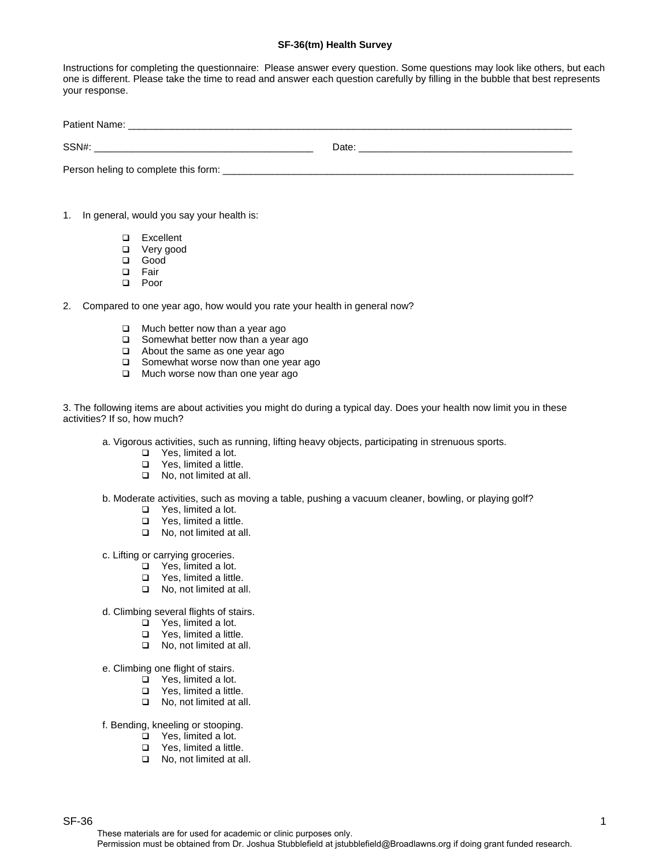## **SF-36(tm) Health Survey**

Instructions for completing the questionnaire: Please answer every question. Some questions may look like others, but each one is different. Please take the time to read and answer each question carefully by filling in the bubble that best represents your response.

| Patient<br>ำเllt. |       |
|-------------------|-------|
|                   |       |
| SSN#              | Date: |

Person heling to complete this form:

- 1. In general, would you say your health is:
	- **□** Excellent<br>□ Very good
	- q Very good
	- Good
	- q Fair
	- q Poor
- 2. Compared to one year ago, how would you rate your health in general now?
	- $\Box$  Much better now than a year ago
	- $\Box$  Somewhat better now than a year ago
	- $\Box$  About the same as one year ago
	- □ Somewhat worse now than one year ago
	- **Q** Much worse now than one year ago

3. The following items are about activities you might do during a typical day. Does your health now limit you in these activities? If so, how much?

- a. Vigorous activities, such as running, lifting heavy objects, participating in strenuous sports.
	- □ Yes, limited a lot.
	- □ Yes, limited a little.
	- □ No, not limited at all.
- b. Moderate activities, such as moving a table, pushing a vacuum cleaner, bowling, or playing golf?
	- □ Yes, limited a lot.
	- □ Yes, limited a little.
	- □ No, not limited at all.
- c. Lifting or carrying groceries.
	- □ Yes, limited a lot.
	- □ Yes, limited a little.
	- No, not limited at all.
- d. Climbing several flights of stairs.
	- $\Box$  Yes, limited a lot.
	- $\Box$  Yes, limited a little.
	- □ No, not limited at all.
- e. Climbing one flight of stairs.
	- $\overline{q}$  Yes, limited a lot.
	- $\Box$  Yes, limited a little.
	- □ No, not limited at all.

f. Bending, kneeling or stooping.

- □ Yes, limited a lot.
- □ Yes, limited a little.
- □ No, not limited at all.

 $S$ F-36  $1$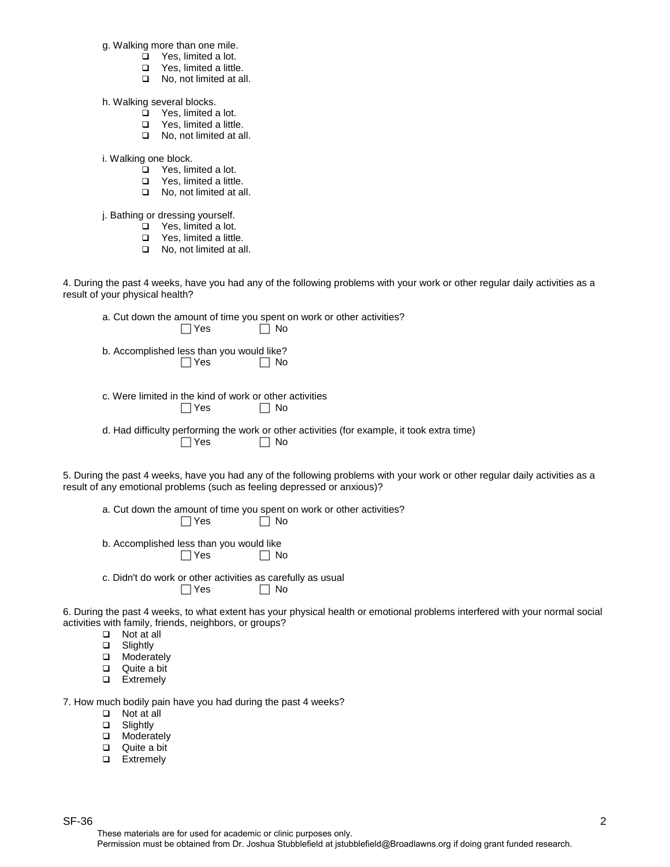g. Walking more than one mile.

- $\overline{\square}$  Yes, limited a lot.
- **q** Yes, limited a little.
- □ No, not limited at all.

h. Walking several blocks.

- **q** Yes, limited a lot.
- $\Box$  Yes, limited a little.
- □ No, not limited at all.

i. Walking one block.

- $\Box$  Yes, limited a lot.
- □ Yes, limited a little.
- □ No, not limited at all.

j. Bathing or dressing yourself.

- $\Box$  Yes, limited a lot.
- **q** Yes, limited a little.
- □ No, not limited at all.

4. During the past 4 weeks, have you had any of the following problems with your work or other regular daily activities as a result of your physical health?

| a. Cut down the amount of time you spent on work or other activities? |  |
|-----------------------------------------------------------------------|--|
|-----------------------------------------------------------------------|--|

| $\Box$ Yes |  | $\Box$ No |
|------------|--|-----------|
|            |  |           |

- b. Accomplished less than you would like?  $\Box$  Yes  $\Box$  No
- c. Were limited in the kind of work or other activities  $\Box$  Yes  $\Box$  No
- d. Had difficulty performing the work or other activities (for example, it took extra time)  $\Box$  Yes  $\Box$  No

5. During the past 4 weeks, have you had any of the following problems with your work or other regular daily activities as a result of any emotional problems (such as feeling depressed or anxious)?

a. Cut down the amount of time you spent on work or other activities?  $\Box$  Yes  $\Box$  No

- b. Accomplished less than you would like  $\Box$  Yes  $\Box$  No
- c. Didn't do work or other activities as carefully as usual  $\Box$  Yes  $\Box$  No

6. During the past 4 weeks, to what extent has your physical health or emotional problems interfered with your normal social activities with family, friends, neighbors, or groups?

- $\Box$  Not at all<br> $\Box$  Slightly
- **□** Slightly<br>□ Modera
- □ Moderately<br>□ Quite a bit
- Quite a bit
- **Q** Extremely

7. How much bodily pain have you had during the past 4 weeks?

- q Not at all
- □ Slightly
- **Q** Moderately
- Quite a bit
- **Q** Extremely

 $S$ F-36  $2$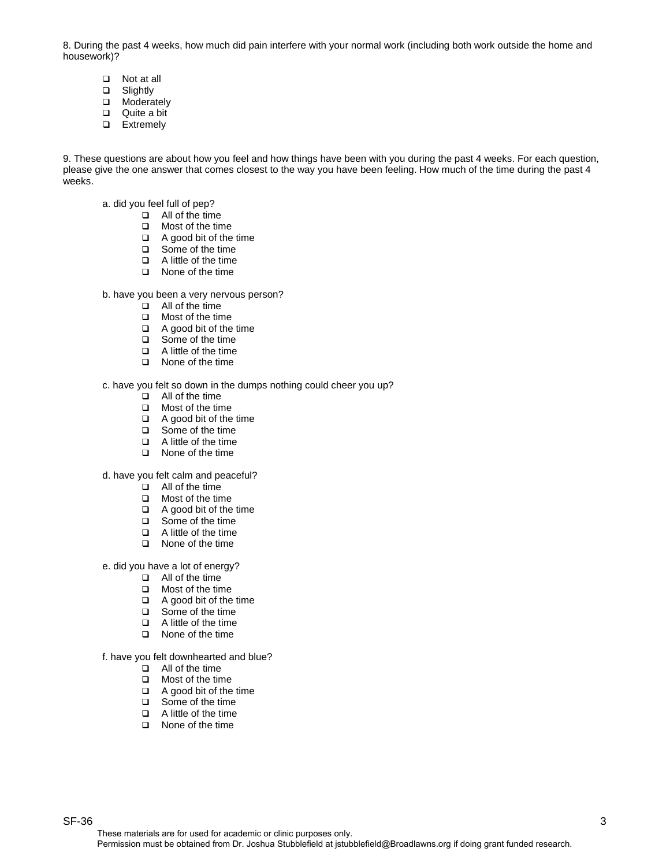8. During the past 4 weeks, how much did pain interfere with your normal work (including both work outside the home and housework)?

- **□** Not at all<br>□ Slightly
- Slightly
- D Moderately
- $Q$ uite a bit
- **Q** Extremely

9. These questions are about how you feel and how things have been with you during the past 4 weeks. For each question, please give the one answer that comes closest to the way you have been feeling. How much of the time during the past 4 weeks.

- a. did you feel full of pep?
	- $\Box$  All of the time
	- **Q** Most of the time
	- $\Box$  A good bit of the time<br> $\Box$  Some of the time
	- Some of the time
	- $\Box$  A little of the time
	- **Q** None of the time
- b. have you been a very nervous person?
	- $\Box$  All of the time
	- **Q** Most of the time
	- $\Box$  A good bit of the time
	- □ Some of the time
	- $\Box$  A little of the time
	- q None of the time

c. have you felt so down in the dumps nothing could cheer you up?

- q All of the time
- $\Box$  Most of the time
- $\Box$  A good bit of the time
- □ Some of the time
- q A little of the time
- **Q** None of the time

d. have you felt calm and peaceful?

- $\Box$  All of the time
- **Q** Most of the time
- $\Box$  A good bit of the time
- □ Some of the time
- $\Box$  A little of the time
- q None of the time

e. did you have a lot of energy?

- $\Box$  All of the time
- $\Box$  Most of the time
- $\Box$  A good bit of the time
- □ Some of the time
- $\Box$  A little of the time
- **Q** None of the time

f. have you felt downhearted and blue?

- $\Box$  All of the time
- **Q** Most of the time
- $\Box$  A good bit of the time
- □ Some of the time
- $\Box$  A little of the time
- **Q** None of the time